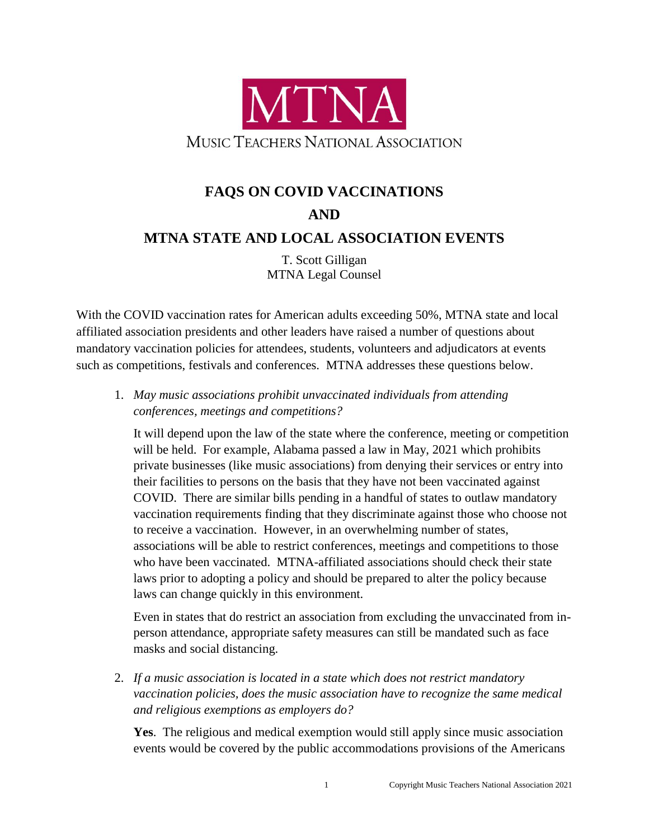

## **FAQS ON COVID VACCINATIONS AND MTNA STATE AND LOCAL ASSOCIATION EVENTS**

T. Scott Gilligan MTNA Legal Counsel

With the COVID vaccination rates for American adults exceeding 50%, MTNA state and local affiliated association presidents and other leaders have raised a number of questions about mandatory vaccination policies for attendees, students, volunteers and adjudicators at events such as competitions, festivals and conferences. MTNA addresses these questions below.

1. *May music associations prohibit unvaccinated individuals from attending conferences, meetings and competitions?*

It will depend upon the law of the state where the conference, meeting or competition will be held. For example, Alabama passed a law in May, 2021 which prohibits private businesses (like music associations) from denying their services or entry into their facilities to persons on the basis that they have not been vaccinated against COVID. There are similar bills pending in a handful of states to outlaw mandatory vaccination requirements finding that they discriminate against those who choose not to receive a vaccination. However, in an overwhelming number of states, associations will be able to restrict conferences, meetings and competitions to those who have been vaccinated. MTNA-affiliated associations should check their state laws prior to adopting a policy and should be prepared to alter the policy because laws can change quickly in this environment.

Even in states that do restrict an association from excluding the unvaccinated from inperson attendance, appropriate safety measures can still be mandated such as face masks and social distancing.

2. *If a music association is located in a state which does not restrict mandatory vaccination policies, does the music association have to recognize the same medical and religious exemptions as employers do?*

**Yes**. The religious and medical exemption would still apply since music association events would be covered by the public accommodations provisions of the Americans